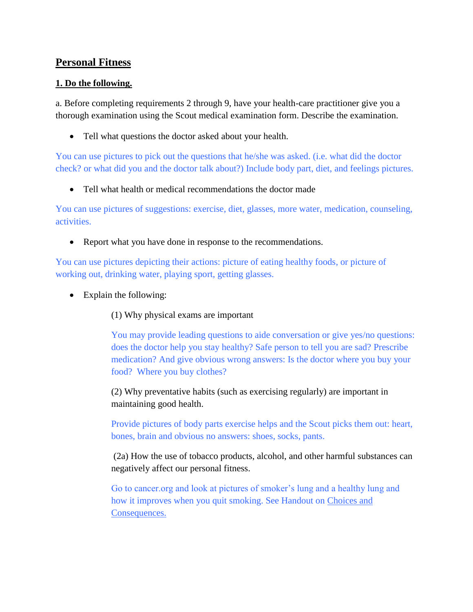# **Personal Fitness**

### **1. Do the following.**

a. Before completing requirements 2 through 9, have your health-care practitioner give you a thorough examination using the Scout medical examination form. Describe the examination.

• Tell what questions the doctor asked about your health.

You can use pictures to pick out the questions that he/she was asked. (i.e. what did the doctor check? or what did you and the doctor talk about?) Include body part, diet, and feelings pictures.

• Tell what health or medical recommendations the doctor made

You can use pictures of suggestions: exercise, diet, glasses, more water, medication, counseling, activities.

• Report what you have done in response to the recommendations.

You can use pictures depicting their actions: picture of eating healthy foods, or picture of working out, drinking water, playing sport, getting glasses.

• Explain the following:

(1) Why physical exams are important

You may provide leading questions to aide conversation or give yes/no questions: does the doctor help you stay healthy? Safe person to tell you are sad? Prescribe medication? And give obvious wrong answers: Is the doctor where you buy your food? Where you buy clothes?

(2) Why preventative habits (such as exercising regularly) are important in maintaining good health.

Provide pictures of body parts exercise helps and the Scout picks them out: heart, bones, brain and obvious no answers: shoes, socks, pants.

(2a) How the use of tobacco products, alcohol, and other harmful substances can negatively affect our personal fitness.

Go to cancer.org and look at pictures of smoker's lung and a healthy lung and how it improves when you quit smoking. See Handout on Choices and Consequences.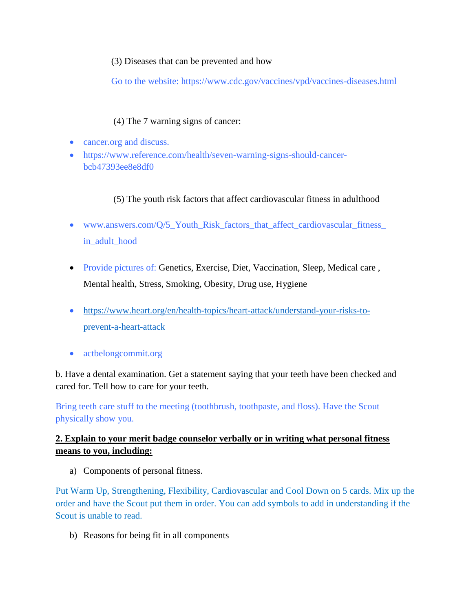### (3) Diseases that can be prevented and how

Go to the website: https://www.cdc.gov/vaccines/vpd/vaccines-diseases.html

## (4) The 7 warning signs of cancer:

- cancer.org and discuss.
- https://www.reference.com/health/seven-warning-signs-should-cancerbcb47393ee8e8df0

## (5) The youth risk factors that affect cardiovascular fitness in adulthood

- www.answers.com/Q/5\_Youth\_Risk\_factors\_that\_affect\_cardiovascular\_fitness\_ in\_adult\_hood
- Provide pictures of: Genetics, Exercise, Diet, Vaccination, Sleep, Medical care , Mental health, Stress, Smoking, Obesity, Drug use, Hygiene
- [https://www.heart.org/en/health-topics/heart-attack/understand-your-risks-to](https://www.heart.org/en/health-topics/heart-attack/understand-your-risks-to-prevent-a-heart-attack)[prevent-a-heart-attack](https://www.heart.org/en/health-topics/heart-attack/understand-your-risks-to-prevent-a-heart-attack)
- actbelongcommit.org

b. Have a dental examination. Get a statement saying that your teeth have been checked and cared for. Tell how to care for your teeth.

Bring teeth care stuff to the meeting (toothbrush, toothpaste, and floss). Have the Scout physically show you.

## **2. Explain to your merit badge counselor verbally or in writing what personal fitness means to you, including:**

a) Components of personal fitness.

Put Warm Up, Strengthening, Flexibility, Cardiovascular and Cool Down on 5 cards. Mix up the order and have the Scout put them in order. You can add symbols to add in understanding if the Scout is unable to read.

b) Reasons for being fit in all components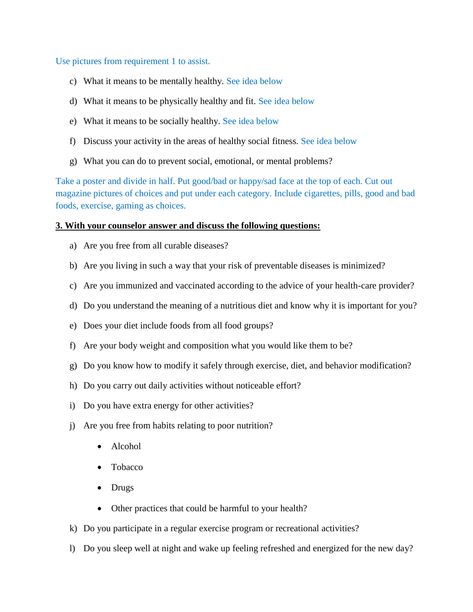Use pictures from requirement 1 to assist.

- c) What it means to be mentally healthy. See idea below
- d) What it means to be physically healthy and fit. See idea below
- e) What it means to be socially healthy. See idea below
- f) Discuss your activity in the areas of healthy social fitness. See idea below
- g) What you can do to prevent social, emotional, or mental problems?

Take a poster and divide in half. Put good/bad or happy/sad face at the top of each. Cut out magazine pictures of choices and put under each category. Include cigarettes, pills, good and bad foods, exercise, gaming as choices.

#### **3. With your counselor answer and discuss the following questions:**

- a) Are you free from all curable diseases?
- b) Are you living in such a way that your risk of preventable diseases is minimized?
- c) Are you immunized and vaccinated according to the advice of your health-care provider?
- d) Do you understand the meaning of a nutritious diet and know why it is important for you?
- e) Does your diet include foods from all food groups?
- f) Are your body weight and composition what you would like them to be?
- g) Do you know how to modify it safely through exercise, diet, and behavior modification?
- h) Do you carry out daily activities without noticeable effort?
- i) Do you have extra energy for other activities?
- j) Are you free from habits relating to poor nutrition?
	- Alcohol
	- Tobacco
	- Drugs
	- Other practices that could be harmful to your health?
- k) Do you participate in a regular exercise program or recreational activities?
- l) Do you sleep well at night and wake up feeling refreshed and energized for the new day?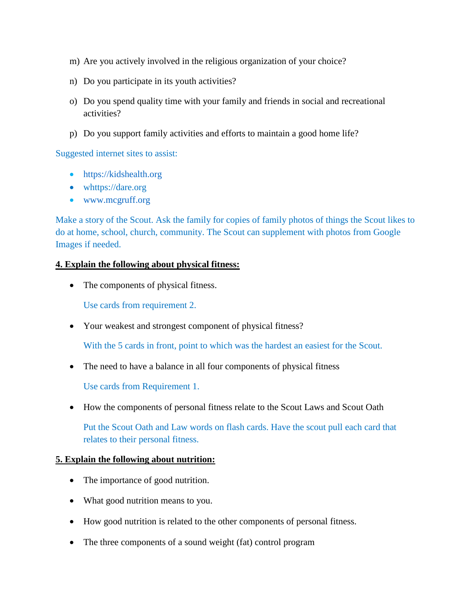- m) Are you actively involved in the religious organization of your choice?
- n) Do you participate in its youth activities?
- o) Do you spend quality time with your family and friends in social and recreational activities?
- p) Do you support family activities and efforts to maintain a good home life?

Suggested internet sites to assist:

- [https://kidshealth.org](https://kidshealth.org/)
- whttps://dare.org
- [www.mcgruff.org](http://www.mcgruff.org/)

Make a story of the Scout. Ask the family for copies of family photos of things the Scout likes to do at home, school, church, community. The Scout can supplement with photos from Google Images if needed.

#### **4. Explain the following about physical fitness:**

• The components of physical fitness.

Use cards from requirement 2.

• Your weakest and strongest component of physical fitness?

With the 5 cards in front, point to which was the hardest an easiest for the Scout.

• The need to have a balance in all four components of physical fitness

Use cards from Requirement 1.

• How the components of personal fitness relate to the Scout Laws and Scout Oath

Put the Scout Oath and Law words on flash cards. Have the scout pull each card that relates to their personal fitness.

#### **5. Explain the following about nutrition:**

- The importance of good nutrition.
- What good nutrition means to you.
- How good nutrition is related to the other components of personal fitness.
- The three components of a sound weight (fat) control program